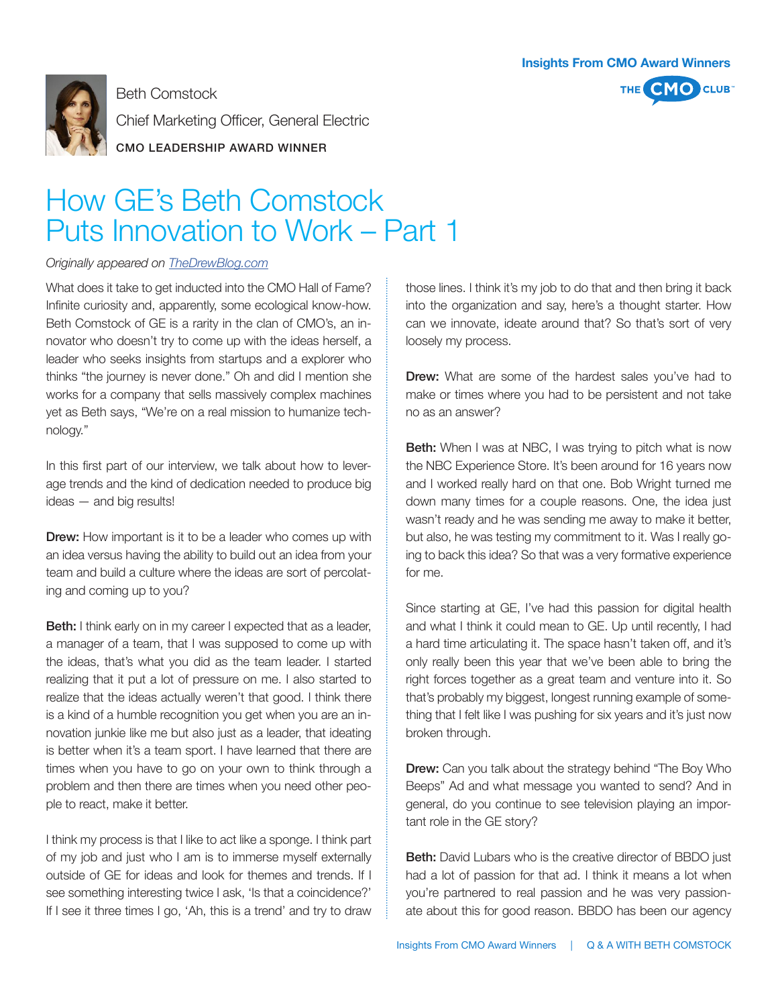

Beth Comstock Chief Marketing Officer, General Electric CMO LEADERSHIP AWARD WINNER



## How GE's Beth Comstock Puts Innovation to Work – Part 1

## *Originally appeared on TheDrewBlog.com*

What does it take to get inducted into the CMO Hall of Fame? Infinite curiosity and, apparently, some ecological know-how. Beth Comstock of GE is a rarity in the clan of CMO's, an innovator who doesn't try to come up with the ideas herself, a leader who seeks insights from startups and a explorer who thinks "the journey is never done." Oh and did I mention she works for a company that sells massively complex machines yet as Beth says, "We're on a real mission to humanize technology."

In this first part of our interview, we talk about how to leverage trends and the kind of dedication needed to produce big ideas — and big results!

**Drew:** How important is it to be a leader who comes up with an idea versus having the ability to build out an idea from your team and build a culture where the ideas are sort of percolating and coming up to you?

Beth: I think early on in my career I expected that as a leader, a manager of a team, that I was supposed to come up with the ideas, that's what you did as the team leader. I started realizing that it put a lot of pressure on me. I also started to realize that the ideas actually weren't that good. I think there is a kind of a humble recognition you get when you are an innovation junkie like me but also just as a leader, that ideating is better when it's a team sport. I have learned that there are times when you have to go on your own to think through a problem and then there are times when you need other people to react, make it better.

I think my process is that I like to act like a sponge. I think part of my job and just who I am is to immerse myself externally outside of GE for ideas and look for themes and trends. If I see something interesting twice I ask, 'Is that a coincidence?' If I see it three times I go, 'Ah, this is a trend' and try to draw those lines. I think it's my job to do that and then bring it back into the organization and say, here's a thought starter. How can we innovate, ideate around that? So that's sort of very loosely my process.

Drew: What are some of the hardest sales you've had to make or times where you had to be persistent and not take no as an answer?

Beth: When I was at NBC, I was trying to pitch what is now the NBC Experience Store. It's been around for 16 years now and I worked really hard on that one. Bob Wright turned me down many times for a couple reasons. One, the idea just wasn't ready and he was sending me away to make it better, but also, he was testing my commitment to it. Was I really going to back this idea? So that was a very formative experience for me.

Since starting at GE, I've had this passion for digital health and what I think it could mean to GE. Up until recently, I had a hard time articulating it. The space hasn't taken off, and it's only really been this year that we've been able to bring the right forces together as a great team and venture into it. So that's probably my biggest, longest running example of something that I felt like I was pushing for six years and it's just now broken through.

Drew: Can you talk about the strategy behind "The Boy Who Beeps" Ad and what message you wanted to send? And in general, do you continue to see television playing an important role in the GE story?

Beth: David Lubars who is the creative director of BBDO just had a lot of passion for that ad. I think it means a lot when you're partnered to real passion and he was very passionate about this for good reason. BBDO has been our agency